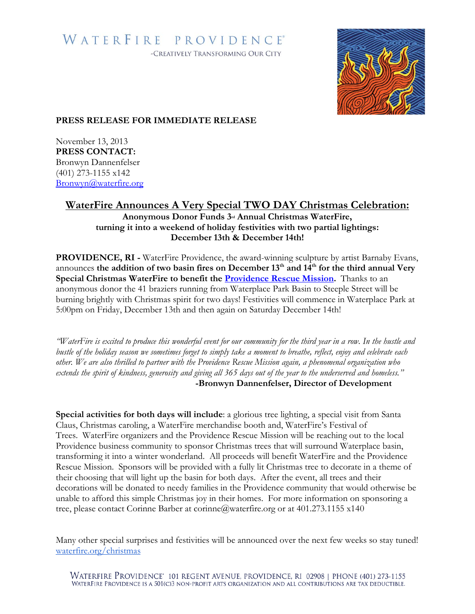# WATERFIRE PROVIDENCE® -CREATIVELY TRANSFORMING OUR CITY



## **PRESS RELEASE FOR IMMEDIATE RELEASE**

November 13, 2013 **PRESS CONTACT:** Bronwyn Dannenfelser (401) 273-1155 x142 [Bronwyn@waterfire.org](mailto:Bronwyn@waterfire.org)

## **WaterFire Announces A Very Special TWO DAY Christmas Celebration:**

**Anonymous Donor Funds 3rd Annual Christmas WaterFire, turning it into a weekend of holiday festivities with two partial lightings: December 13th & December 14th!**

**PROVIDENCE, RI -** WaterFire Providence, the award-winning sculpture by artist Barnaby Evans, announces the addition of two basin fires on December 13<sup>th</sup> and 14<sup>th</sup> for the third annual Very **Special Christmas WaterFire to benefit the [Providence Rescue Mission.](http://www.providencerescuemission.org/)** Thanks to an anonymous donor the 41 braziers running from Waterplace Park Basin to Steeple Street will be burning brightly with Christmas spirit for two days! Festivities will commence in Waterplace Park at 5:00pm on Friday, December 13th and then again on Saturday December 14th!

*"WaterFire is excited to produce this wonderful event for our community for the third year in a row. In the hustle and bustle of the holiday season we sometimes forget to simply take a moment to breathe, reflect, enjoy and celebrate each other. We are also thrilled to partner with the Providence Rescue Mission again, a phenomenal organization who extends the spirit of kindness, generosity and giving all 365 days out of the year to the underserved and homeless."* **-Bronwyn Dannenfelser, Director of Development**

**Special activities for both days will include**: a glorious tree lighting, a special visit from Santa Claus, Christmas caroling, a WaterFire merchandise booth and, WaterFire's Festival of Trees. WaterFire organizers and the Providence Rescue Mission will be reaching out to the local Providence business community to sponsor Christmas trees that will surround Waterplace basin, transforming it into a winter wonderland. All proceeds will benefit WaterFire and the Providence Rescue Mission. Sponsors will be provided with a fully lit Christmas tree to decorate in a theme of their choosing that will light up the basin for both days. After the event, all trees and their decorations will be donated to needy families in the Providence community that would otherwise be unable to afford this simple Christmas joy in their homes. For more information on sponsoring a tree, please contact Corinne Barber at corinne@waterfire.org or at 401.273.1155 x140

Many other special surprises and festivities will be announced over the next few weeks so stay tuned! [waterfire.org/christmas](http://waterfire.org/friday-december-13th-saturday-december-14th-2013/)